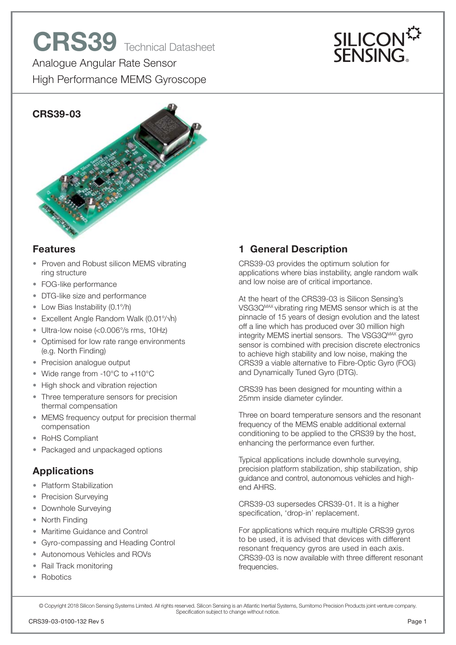



#### **Features**

- Proven and Robust silicon MEMS vibrating ring structure
- FOG-like performance
- DTG-like size and performance
- Low Bias Instability (0.1°/h)
- Excellent Angle Random Walk  $(0.01\frac{\text{eV}}{\text{h}})$
- Ultra-low noise (<0.006°/s rms, 10Hz)
- Optimised for low rate range environments (e.g. North Finding)
- Precision analogue output
- Wide range from -10°C to +110°C
- High shock and vibration rejection
- Three temperature sensors for precision thermal compensation
- MEMS frequency output for precision thermal compensation
- RoHS Compliant
- Packaged and unpackaged options

# **Applications**

- Platform Stabilization
- Precision Surveying
- Downhole Surveying
- North Finding
- Maritime Guidance and Control
- Gyro-compassing and Heading Control
- Autonomous Vehicles and ROVs
- Rail Track monitoring
- Robotics

# **1 General Description**

CRS39-03 provides the optimum solution for applications where bias instability, angle random walk and low noise are of critical importance.

At the heart of the CRS39-03 is Silicon Sensing's VSG3QMAX vibrating ring MEMS sensor which is at the pinnacle of 15 years of design evolution and the latest off a line which has produced over 30 million high integrity MEMS inertial sensors. The VSG3Q<sup>MAX</sup> gyro sensor is combined with precision discrete electronics to achieve high stability and low noise, making the CRS39 a viable alternative to Fibre-Optic Gyro (FOG) and Dynamically Tuned Gyro (DTG).

CRS39 has been designed for mounting within a 25mm inside diameter cylinder.

Three on board temperature sensors and the resonant frequency of the MEMS enable additional external conditioning to be applied to the CRS39 by the host, enhancing the performance even further.

Typical applications include downhole surveying, precision platform stabilization, ship stabilization, ship guidance and control, autonomous vehicles and highend AHRS.

CRS39-03 supersedes CRS39-01. It is a higher specification, 'drop-in' replacement.

For applications which require multiple CRS39 gyros to be used, it is advised that devices with different resonant frequency gyros are used in each axis. CRS39-03 is now available with three different resonant frequencies.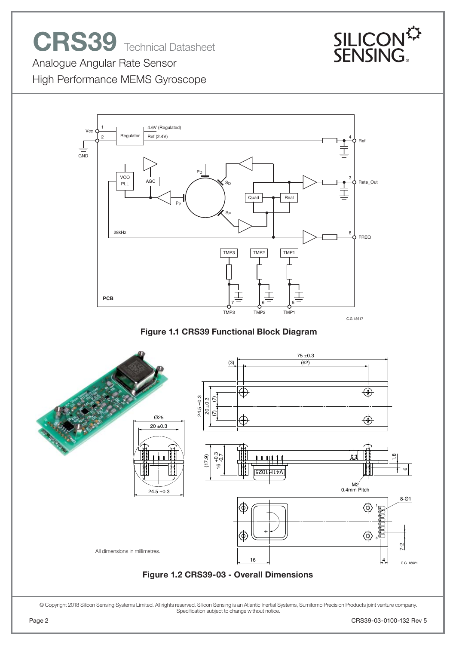# **CRS39** Technical Datasheet



Analogue Angular Rate Sensor

High Performance MEMS Gyroscope



**Figure 1.1 CRS39 Functional Block Diagram**

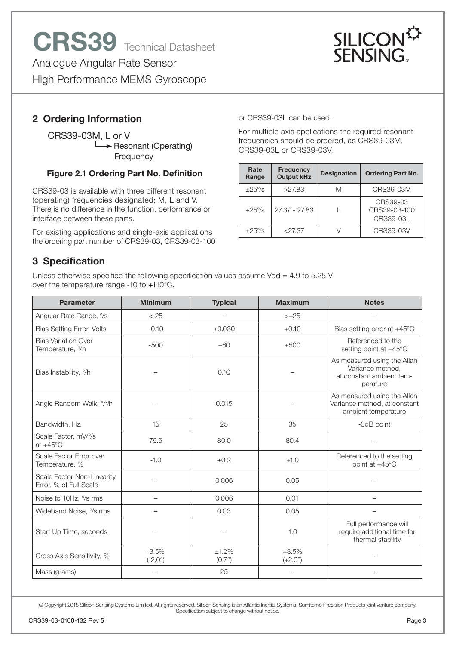

# **2 Ordering Information**

 CRS39-03M, L or V  $\rightarrow$  Resonant (Operating) **Frequency** 

#### **Figure 2.1 Ordering Part No. Definition**

CRS39-03 is available with three different resonant (operating) frequencies designated; M, L and V. There is no difference in the function, performance or interface between these parts.

For existing applications and single-axis applications the ordering part number of CRS39-03, CRS39-03-100 or CRS39-03L can be used.

For multiple axis applications the required resonant frequencies should be ordered, as CRS39-03M, CRS39-03L or CRS39-03V.

| Rate<br>Range | <b>Frequency</b><br><b>Designation</b><br><b>Output kHz</b> |   | <b>Ordering Part No.</b>              |  |  |
|---------------|-------------------------------------------------------------|---|---------------------------------------|--|--|
| $+25\%$       | >27.83                                                      | M | CRS39-03M                             |  |  |
| $+25\%$       | 27.37 - 27.83                                               |   | CRS39-03<br>CRS39-03-100<br>CRS39-03L |  |  |
| $+25\%$       | $<$ 27.37                                                   |   | CRS39-03V                             |  |  |

# **3 Specification**

Unless otherwise specified the following specification values assume Vdd = 4.9 to 5.25 V over the temperature range -10 to +110°C.

| <b>Parameter</b>                                           | <b>Minimum</b>              | <b>Typical</b>         | <b>Maximum</b>              | <b>Notes</b>                                                                            |  |
|------------------------------------------------------------|-----------------------------|------------------------|-----------------------------|-----------------------------------------------------------------------------------------|--|
| Angular Rate Range, %                                      | $< -25$                     |                        | $> +25$                     |                                                                                         |  |
| <b>Bias Setting Error, Volts</b>                           | $-0.10$                     | ±0.030                 | $+0.10$                     | Bias setting error at $+45^{\circ}$ C                                                   |  |
| <b>Bias Variation Over</b><br>Temperature, <sup>o</sup> /h | $-500$                      | ±60                    | $+500$                      | Referenced to the<br>setting point at +45°C                                             |  |
| Bias Instability, %                                        |                             | 0.10                   |                             | As measured using the Allan<br>Variance method,<br>at constant ambient tem-<br>perature |  |
| Angle Random Walk, %h                                      |                             | 0.015                  |                             | As measured using the Allan<br>Variance method, at constant<br>ambient temperature      |  |
| Bandwidth, Hz.                                             | 15                          | 25                     | 35                          | -3dB point                                                                              |  |
| Scale Factor, mV/%<br>at $+45^{\circ}$ C                   | 79.6                        | 80.0                   | 80.4                        |                                                                                         |  |
| Scale Factor Error over<br>Temperature, %                  | $-1.0$                      | ±0.2                   | $+1.0$                      | Referenced to the setting<br>point at +45°C                                             |  |
| Scale Factor Non-Linearity<br>Error, % of Full Scale       |                             | 0.006                  | 0.05                        |                                                                                         |  |
| Noise to 10Hz, % rms                                       |                             | 0.006                  | 0.01                        |                                                                                         |  |
| Wideband Noise, % rms                                      |                             | 0.03                   | 0.05                        |                                                                                         |  |
| Start Up Time, seconds                                     |                             |                        | 1.0                         | Full performance will<br>require additional time for<br>thermal stability               |  |
| Cross Axis Sensitivity, %                                  | $-3.5%$<br>$(-2.0^{\circ})$ | ±1.2%<br>$(0.7^\circ)$ | $+3.5%$<br>$(+2.0^{\circ})$ |                                                                                         |  |
| Mass (grams)                                               |                             | 25                     | $\equiv$                    |                                                                                         |  |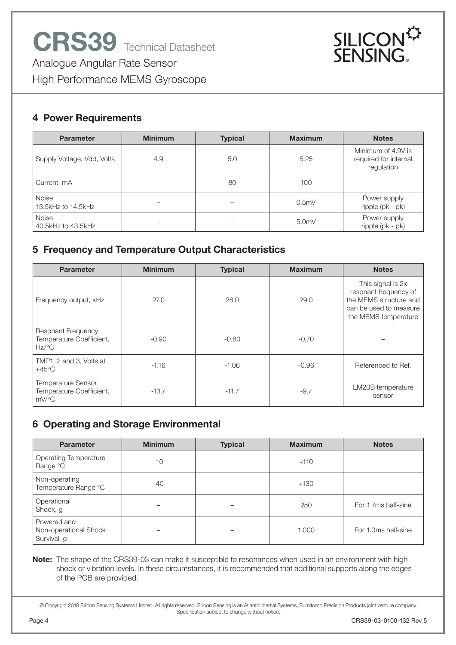

#### **4 Power Requirements**

| <b>Minimum</b><br><b>Parameter</b> |            | <b>Typical</b> | <b>Maximum</b>   | <b>Notes</b>                                              |  |
|------------------------------------|------------|----------------|------------------|-----------------------------------------------------------|--|
| Supply Voltage, Vdd, Volts         | 4.9<br>5.0 |                | 5.25             | Minimum of 4.9V is<br>required for internal<br>regulation |  |
| Current, mA                        |            |                | 100              |                                                           |  |
| <b>Noise</b><br>13.5kHz to 14.5kHz |            |                | 0.5 <sub>m</sub> | Power supply<br>ripple (pk - pk)                          |  |
| <b>Noise</b><br>40.5kHz to 43.5kHz |            |                | 5.0 <sub>m</sub> | Power supply<br>ripple (pk - pk)                          |  |

## **5 Frequency and Temperature Output Characteristics**

| <b>Parameter</b>                                                          | <b>Minimum</b> | <b>Typical</b> | <b>Maximum</b> | <b>Notes</b>                                                                                                           |  |
|---------------------------------------------------------------------------|----------------|----------------|----------------|------------------------------------------------------------------------------------------------------------------------|--|
| Frequency output, kHz                                                     | 27.0           | 28.0           | 29.0           | This signal is 2x<br>resonant frequency of<br>the MEMS structure and<br>can be used to measure<br>the MEMS temperature |  |
| Resonant Frequency<br>Temperature Coefficient,<br>$Hz$ <sup>o</sup> C     | $-0.90$        | $-0.80$        | $-0.70$        |                                                                                                                        |  |
| TMP1, 2 and 3, Volts at<br>$-1.16$<br>$+45^{\circ}$ C                     |                | $-1.06$        | $-0.96$        | Referenced to Ref.                                                                                                     |  |
| <b>Temperature Sensor</b><br>Temperature Coefficient,<br>$-13.7$<br>mV/°C |                | $-11.7$        | $-9.7$         | LM20B temperature<br>sensor                                                                                            |  |

## **6 Operating and Storage Environmental**

| <b>Parameter</b>                                    | <b>Minimum</b> | <b>Typical</b> | <b>Maximum</b> | <b>Notes</b>        |
|-----------------------------------------------------|----------------|----------------|----------------|---------------------|
| <b>Operating Temperature</b><br>Range °C            | $-10$          |                | $+110$         |                     |
| Non-operating<br>Temperature Range °C               | $-40$          |                | $+130$         |                     |
| Operational<br>Shock, g                             |                |                | 250            | For 1.7ms half-sine |
| Powered and<br>Non-operational Shock<br>Survival, g |                |                | 1,000          | For 1.0ms half-sine |

**Note:** The shape of the CRS39-03 can make it susceptible to resonances when used in an environment with high shock or vibration levels. In these circumstances, it is recommended that additional supports along the edges of the PCB are provided.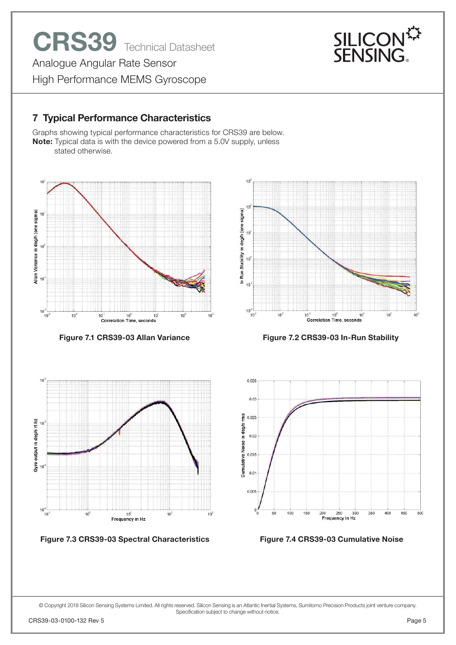# **7 Typical Performance Characteristics**

Graphs showing typical performance characteristics for CRS39 are below. **Note:** Typical data is with the device powered from a 5.0V supply, unless stated otherwise.





**Figure 7.3 CRS39-03 Spectral Characteristics**



Figure 7.1 CRS39-03 Allan Variance Figure 7.2 CRS39-03 In-Run Stability





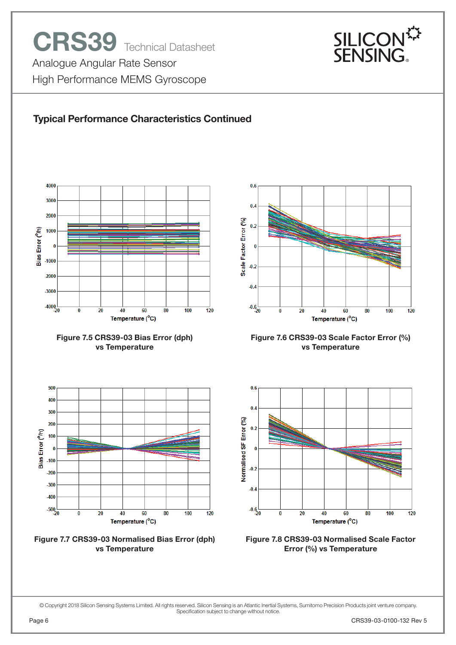

# **Typical Performance Characteristics Continued**











**Figure 7.6 CRS39-03 Scale Factor Error (%) vs Temperature**



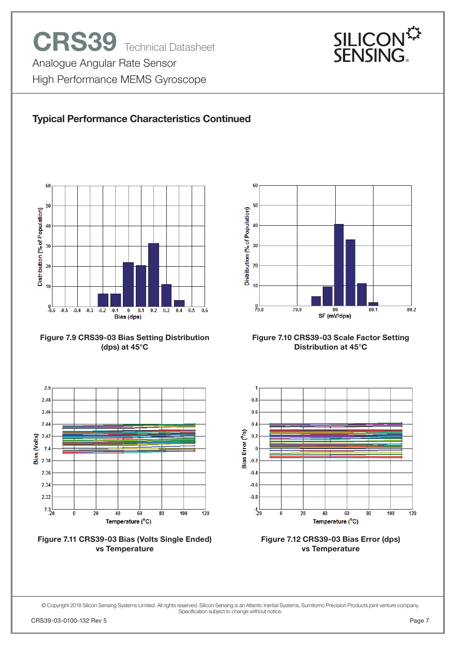

# **Typical Performance Characteristics Continued**











**Figure 7.10 CRS39-03 Scale Factor Setting Distribution at 45°C**



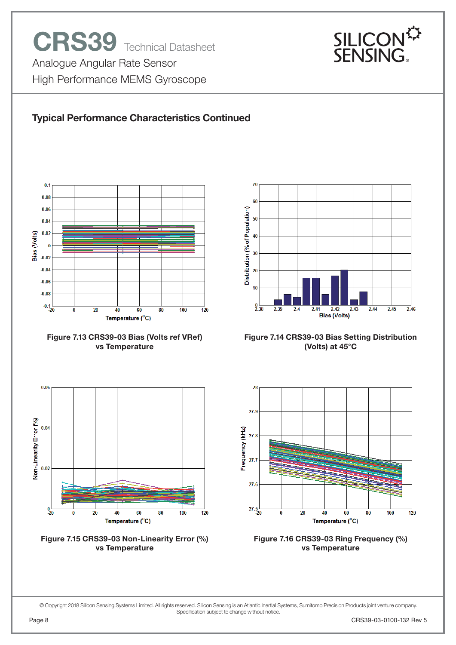

## **Typical Performance Characteristics Continued**



**Figure 7.13 CRS39-03 Bias (Volts ref VRef) vs Temperature**



**Figure 7.15 CRS39-03 Non-Linearity Error (%) vs Temperature**



**Figure 7.14 CRS39-03 Bias Setting Distribution (Volts) at 45°C**



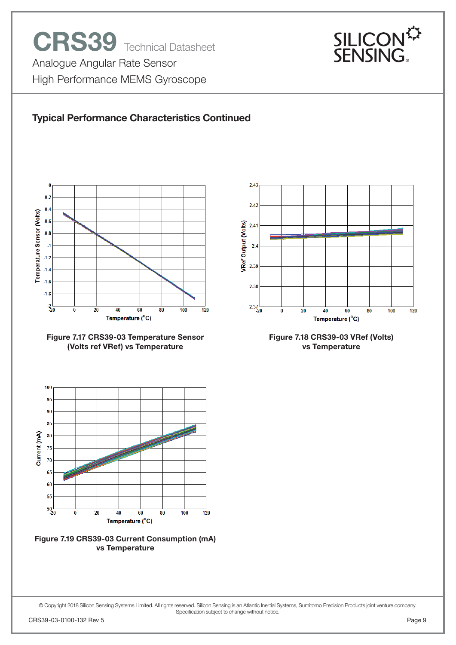

### **Typical Performance Characteristics Continued**









 $2.43$  $2.42$ **VRef Output (Volts)**  $2.41$  $2.4$ 2.39 2.38  $2.37$ <sub>-20</sub>  $\overline{100}$  $\overline{20}$  $120$  $\bf{0}$ 40 60 80

> **Figure 7.18 CRS39-03 VRef (Volts) vs Temperature**

Temperature (°C)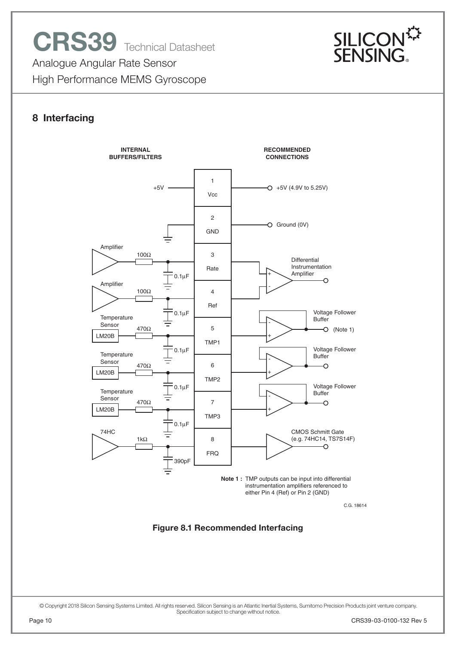

#### **8 Interfacing**

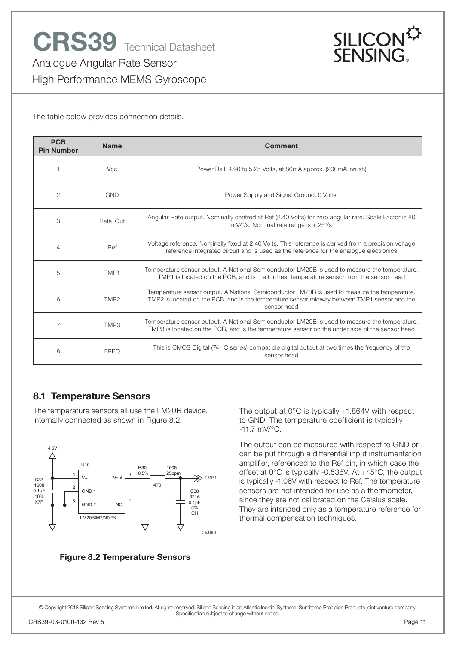

The table below provides connection details.

| <b>PCB</b><br><b>Pin Number</b> | <b>Name</b>      | Comment                                                                                                                                                                                                      |
|---------------------------------|------------------|--------------------------------------------------------------------------------------------------------------------------------------------------------------------------------------------------------------|
|                                 | <b>Vcc</b>       | Power Rail: 4.90 to 5.25 Volts, at 80mA approx. (200mA inrush)                                                                                                                                               |
| $\overline{c}$                  | <b>GND</b>       | Power Supply and Signal Ground, 0 Volts.                                                                                                                                                                     |
| 3                               | Rate Out         | Angular Rate output. Nominally centred at Ref (2.40 Volts) for zero angular rate. Scale Factor is 80<br>mV/ $\degree$ /s. Nominal rate range is $\pm$ 25 $\degree$ /s                                        |
| 4                               | Ref              | Voltage reference. Nominally fixed at 2.40 Volts. This reference is derived from a precision voltage<br>reference integrated circuit and is used as the reference for the analogue electronics               |
| 5                               | TMP1             | Temperature sensor output. A National Semiconductor LM20B is used to measure the temperature.<br>TMP1 is located on the PCB, and is the furthest temperature sensor from the sensor head                     |
| 6                               | TMP <sub>2</sub> | Temperature sensor output. A National Semiconductor LM20B is used to measure the temperature.<br>TMP2 is located on the PCB, and is the temperature sensor midway between TMP1 sensor and the<br>sensor head |
| $\overline{7}$                  | TMP3             | Temperature sensor output. A National Semiconductor LM20B is used to measure the temperature.<br>TMP3 is located on the PCB, and is the temperature sensor on the under side of the sensor head              |
| 8                               | <b>FRFQ</b>      | This is CMOS Digital (74HC series) compatible digital output at two times the frequency of the<br>sensor head                                                                                                |

#### **8.1 Temperature Sensors**

The temperature sensors all use the LM20B device, internally connected as shown in Figure 8.2.



**Figure 8.2 Temperature Sensors**

The output at 0°C is typically +1.864V with respect to GND. The temperature coefficient is typically -11.7 mV/°C.

The output can be measured with respect to GND or can be put through a differential input instrumentation amplifier, referenced to the Ref pin, in which case the offset at 0°C is typically -0.536V. At +45°C, the output is typically -1.06V with respect to Ref. The temperature sensors are not intended for use as a thermometer, since they are not calibrated on the Celsius scale. They are intended only as a temperature reference for thermal compensation techniques.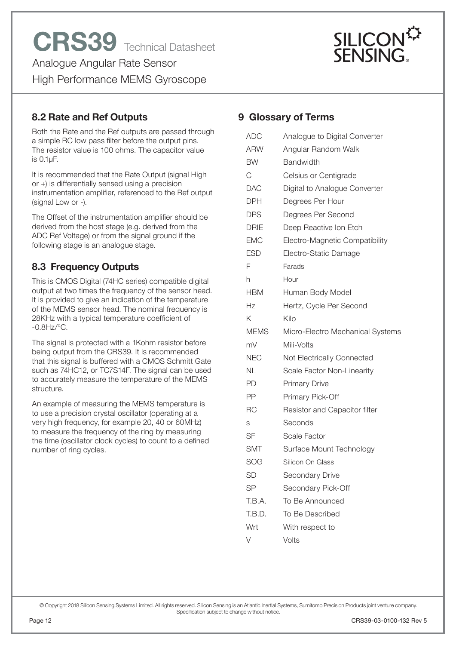

# **8.2 Rate and Ref Outputs**

Both the Rate and the Ref outputs are passed through a simple RC low pass filter before the output pins. The resistor value is 100 ohms. The capacitor value is 0.1μF.

It is recommended that the Rate Output (signal High or +) is differentially sensed using a precision instrumentation amplifier, referenced to the Ref output (signal Low or -).

The Offset of the instrumentation amplifier should be derived from the host stage (e.g. derived from the ADC Ref Voltage) or from the signal ground if the following stage is an analogue stage.

# **8.3 Frequency Outputs**

This is CMOS Digital (74HC series) compatible digital output at two times the frequency of the sensor head. It is provided to give an indication of the temperature of the MEMS sensor head. The nominal frequency is 28KHz with a typical temperature coefficient of -0.8Hz/°C.

The signal is protected with a 1Kohm resistor before being output from the CRS39. It is recommended that this signal is buffered with a CMOS Schmitt Gate such as 74HC12, or TC7S14F. The signal can be used to accurately measure the temperature of the MEMS structure.

An example of measuring the MEMS temperature is to use a precision crystal oscillator (operating at a very high frequency, for example 20, 40 or 60MHz) to measure the frequency of the ring by measuring the time (oscillator clock cycles) to count to a defined number of ring cycles.

## **9 Glossary of Terms**

| <b>ADC</b>  | Analogue to Digital Converter    |
|-------------|----------------------------------|
| <b>ARW</b>  | Angular Random Walk              |
| <b>BW</b>   | <b>Bandwidth</b>                 |
| C           | Celsius or Centigrade            |
| DAC         | Digital to Analogue Converter    |
| DPH         | Degrees Per Hour                 |
| <b>DPS</b>  | Degrees Per Second               |
| <b>DRIE</b> | Deep Reactive Ion Etch           |
| <b>EMC</b>  | Electro-Magnetic Compatibility   |
| <b>ESD</b>  | Electro-Static Damage            |
| F           | Farads                           |
| h           | Hour                             |
| <b>HBM</b>  | Human Body Model                 |
| Hz          | Hertz, Cycle Per Second          |
| Κ           | Kilo                             |
| <b>MEMS</b> | Micro-Electro Mechanical Systems |
| mV          | Mili-Volts                       |
| <b>NEC</b>  | Not Electrically Connected       |
| NL          | Scale Factor Non-Linearity       |
| PD          | <b>Primary Drive</b>             |
| PP          | Primary Pick-Off                 |
| <b>RC</b>   | Resistor and Capacitor filter    |
| S           | Seconds                          |
| SF          | Scale Factor                     |
| <b>SMT</b>  | Surface Mount Technology         |
| SOG         | Silicon On Glass                 |
| <b>SD</b>   | Secondary Drive                  |
| <b>SP</b>   | Secondary Pick-Off               |
| T.B.A.      | To Be Announced                  |
| T.B.D.      | To Be Described                  |
| Wrt         | With respect to                  |
| V           | Volts                            |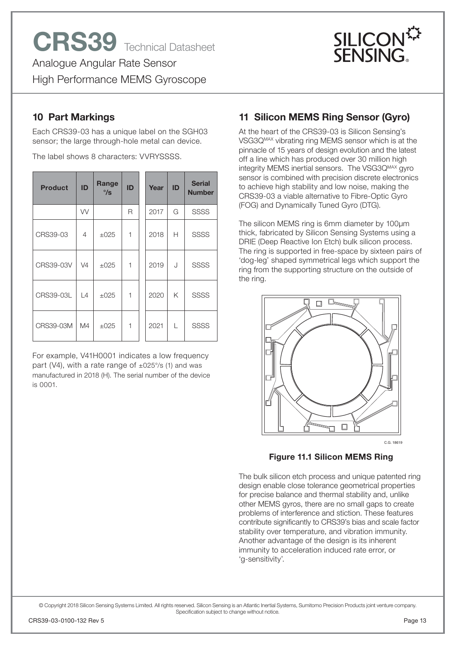

# **10 Part Markings**

Each CRS39-03 has a unique label on the SGH03 sensor; the large through-hole metal can device.

The label shows 8 characters: VVRYSSSS.

| <b>Product</b>   | ID                  | Range<br>$\degree$ /s | ID | Year | ID | <b>Serial</b><br><b>Number</b> |
|------------------|---------------------|-----------------------|----|------|----|--------------------------------|
|                  | W                   |                       | R  | 2017 | G  | <b>SSSS</b>                    |
| CRS39-03         | 4                   | $\pm 025$             | 1  | 2018 | Н  | <b>SSSS</b>                    |
| CRS39-03V        | V <sub>4</sub>      | $\pm 025$             | 1  | 2019 | J  | <b>SSSS</b>                    |
| <b>CRS39-03L</b> | $\lfloor 4 \rfloor$ | $\pm 025$             | 1  | 2020 | K  | <b>SSSS</b>                    |
| CRS39-03M        | M4                  | $\pm 025$             | 1  | 2021 | L  | <b>SSSS</b>                    |

For example, V41H0001 indicates a low frequency part (V4), with a rate range of  $\pm$ 025°/s (1) and was manufactured in 2018 (H). The serial number of the device is 0001.

# **11 Silicon MEMS Ring Sensor (Gyro)**

At the heart of the CRS39-03 is Silicon Sensing's VSG3QMAX vibrating ring MEMS sensor which is at the pinnacle of 15 years of design evolution and the latest off a line which has produced over 30 million high integrity MEMS inertial sensors. The VSG3Q<sup>MAX</sup> gyro sensor is combined with precision discrete electronics to achieve high stability and low noise, making the CRS39-03 a viable alternative to Fibre-Optic Gyro (FOG) and Dynamically Tuned Gyro (DTG).

The silicon MEMS ring is 6mm diameter by 100μm thick, fabricated by Silicon Sensing Systems using a DRIE (Deep Reactive Ion Etch) bulk silicon process. The ring is supported in free-space by sixteen pairs of 'dog-leg' shaped symmetrical legs which support the ring from the supporting structure on the outside of the ring.



**Figure 11.1 Silicon MEMS Ring**

The bulk silicon etch process and unique patented ring design enable close tolerance geometrical properties for precise balance and thermal stability and, unlike other MEMS gyros, there are no small gaps to create problems of interference and stiction. These features contribute significantly to CRS39's bias and scale factor stability over temperature, and vibration immunity. Another advantage of the design is its inherent immunity to acceleration induced rate error, or 'g-sensitivity'.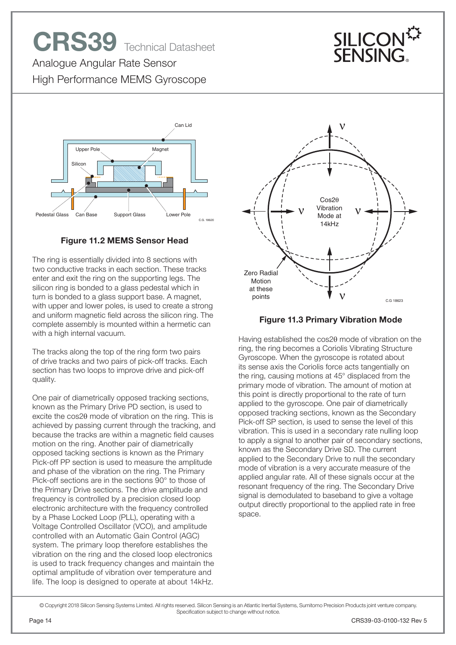# **CRS39** Technical Datasheet



Analogue Angular Rate Sensor High Performance MEMS Gyroscope



#### **Figure 11.2 MEMS Sensor Head**

The ring is essentially divided into 8 sections with two conductive tracks in each section. These tracks enter and exit the ring on the supporting legs. The silicon ring is bonded to a glass pedestal which in turn is bonded to a glass support base. A magnet, with upper and lower poles, is used to create a strong and uniform magnetic field across the silicon ring. The complete assembly is mounted within a hermetic can with a high internal vacuum.

The tracks along the top of the ring form two pairs of drive tracks and two pairs of pick-off tracks. Each section has two loops to improve drive and pick-off quality.

One pair of diametrically opposed tracking sections, known as the Primary Drive PD section, is used to excite the  $cos2\theta$  mode of vibration on the ring. This is achieved by passing current through the tracking, and because the tracks are within a magnetic field causes motion on the ring. Another pair of diametrically opposed tacking sections is known as the Primary Pick-off PP section is used to measure the amplitude and phase of the vibration on the ring. The Primary Pick-off sections are in the sections 90° to those of the Primary Drive sections. The drive amplitude and frequency is controlled by a precision closed loop electronic architecture with the frequency controlled by a Phase Locked Loop (PLL), operating with a Voltage Controlled Oscillator (VCO), and amplitude controlled with an Automatic Gain Control (AGC) system. The primary loop therefore establishes the vibration on the ring and the closed loop electronics is used to track frequency changes and maintain the optimal amplitude of vibration over temperature and life. The loop is designed to operate at about 14kHz.



#### **Figure 11.3 Primary Vibration Mode**

Having established the cos20 mode of vibration on the ring, the ring becomes a Coriolis Vibrating Structure Gyroscope. When the gyroscope is rotated about its sense axis the Coriolis force acts tangentially on the ring, causing motions at 45° displaced from the primary mode of vibration. The amount of motion at this point is directly proportional to the rate of turn applied to the gyroscope. One pair of diametrically opposed tracking sections, known as the Secondary Pick-off SP section, is used to sense the level of this vibration. This is used in a secondary rate nulling loop to apply a signal to another pair of secondary sections, known as the Secondary Drive SD. The current applied to the Secondary Drive to null the secondary mode of vibration is a very accurate measure of the applied angular rate. All of these signals occur at the resonant frequency of the ring. The Secondary Drive signal is demodulated to baseband to give a voltage output directly proportional to the applied rate in free space.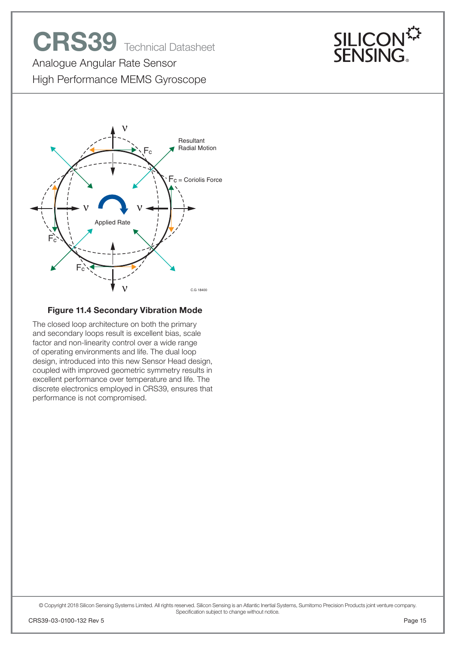# **CRS39** Technical Datasheet



Analogue Angular Rate Sensor High Performance MEMS Gyroscope



#### **Figure 11.4 Secondary Vibration Mode**

The closed loop architecture on both the primary and secondary loops result is excellent bias, scale factor and non-linearity control over a wide range of operating environments and life. The dual loop design, introduced into this new Sensor Head design, coupled with improved geometric symmetry results in excellent performance over temperature and life. The discrete electronics employed in CRS39, ensures that performance is not compromised.